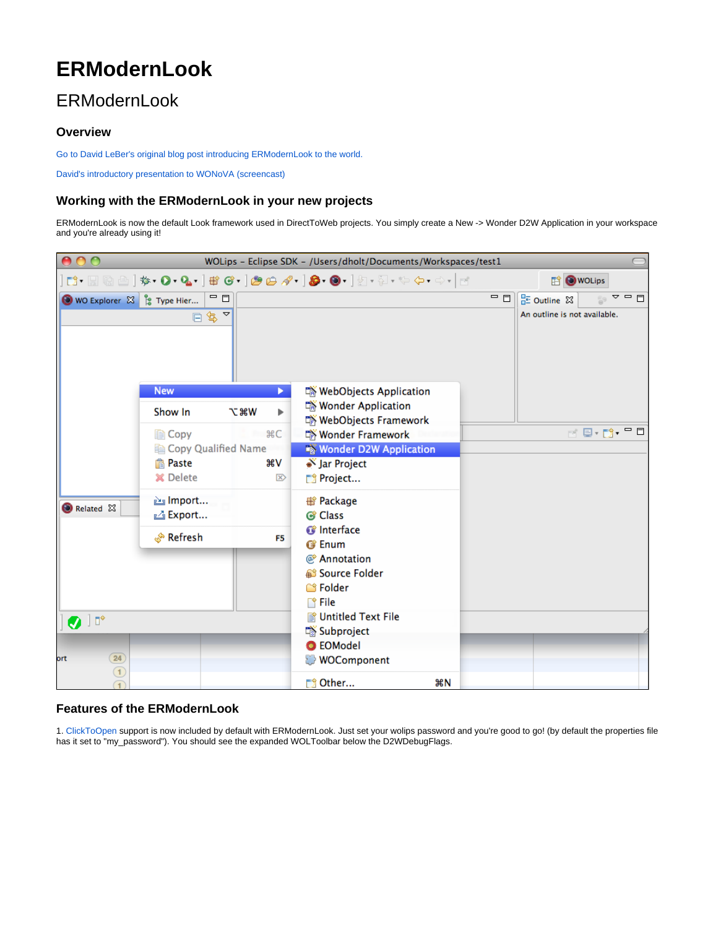# **ERModernLook**

# ERModernLook

#### **Overview**

[Go to David LeBer's original blog post introducing ERModernLook to the world.](http://davidleber.net/?p=402)

[David's introductory presentation to WONoVA \(screencast\)](http://www.wocommunity.org/podcasts/ERModernDirectToWebIntro.mov)

## **Working with the ERModernLook in your new projects**

ERModernLook is now the default Look framework used in DirectToWeb projects. You simply create a New -> Wonder D2W Application in your workspace and you're already using it!



## **Features of the ERModernLook**

1. [ClickToOpen](https://wiki.wocommunity.org/display/documentation/Click+to+Open) support is now included by default with ERModernLook. Just set your wolips password and you're good to go! (by default the properties file has it set to "my\_password"). You should see the expanded WOLToolbar below the D2WDebugFlags.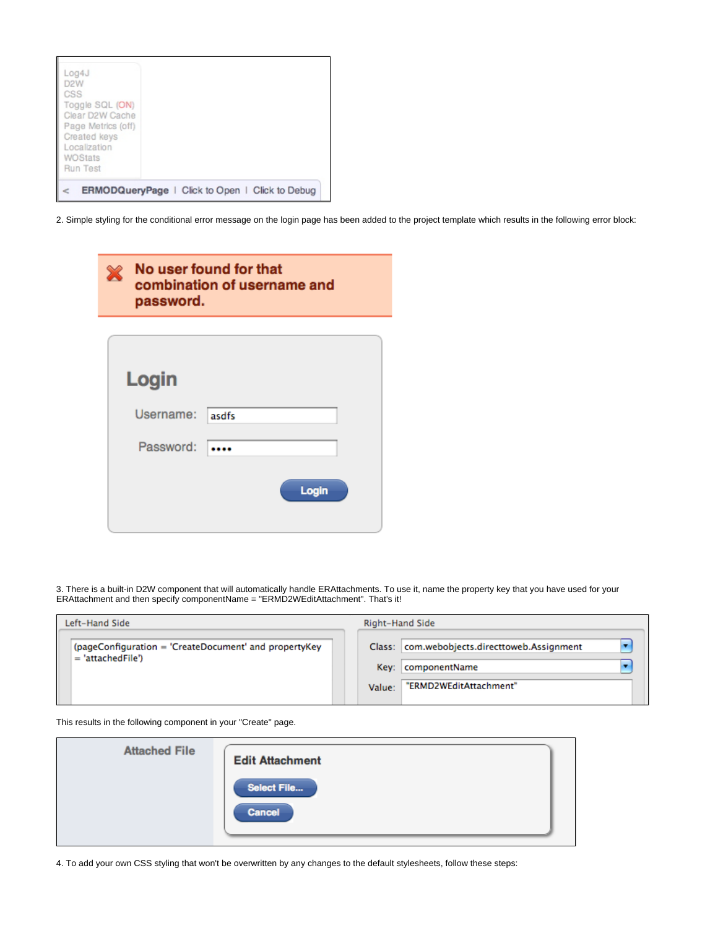| Log4J<br>D <sub>2</sub> W<br>CSS<br>Toggle SQL (ON)<br>Clear D2W Cache<br>Page Metrics (off)<br>Created keys<br>Localization<br>WOStats<br>Run Test |  |  |  |
|-----------------------------------------------------------------------------------------------------------------------------------------------------|--|--|--|
| <b>ERMODQueryPage</b>   Click to Open   Click to Debug                                                                                              |  |  |  |

2. Simple styling for the conditional error message on the login page has been added to the project template which results in the following error block:

| ╳ | password. | No user found for that<br>combination of username and |
|---|-----------|-------------------------------------------------------|
|   |           |                                                       |
|   | Login     |                                                       |
|   | Username: | asdfs                                                 |
|   | Password: |                                                       |
|   |           | Login                                                 |

3. There is a built-in D2W component that will automatically handle ERAttachments. To use it, name the property key that you have used for your ERAttachment and then specify componentName = "ERMD2WEditAttachment". That's it!

| Left-Hand Side                                                               | Right-Hand Side                                                                                          |
|------------------------------------------------------------------------------|----------------------------------------------------------------------------------------------------------|
| (pageConfiguration = 'CreateDocument' and propertyKey<br>$= 'attachedFile')$ | Class:   com.webobjects.directtoweb.Assignment<br>Key: componentName<br>"ERMD2WEditAttachment"<br>Value: |

This results in the following component in your "Create" page.

| <b>Attached File</b> | <b>Edit Attachment</b> |
|----------------------|------------------------|
|                      | Select File            |
|                      | Cancel                 |

4. To add your own CSS styling that won't be overwritten by any changes to the default stylesheets, follow these steps: